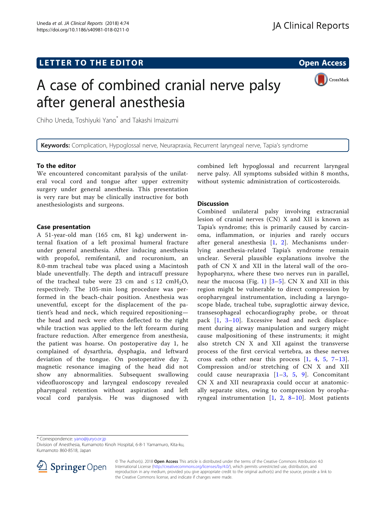# A case of combined cranial nerve palsy after general anesthesia



Chiho Uneda, Toshiyuki Yano\* and Takashi Imaizumi

Keywords: Complication, Hypoglossal nerve, Neurapraxia, Recurrent laryngeal nerve, Tapia's syndrome

# To the editor

We encountered concomitant paralysis of the unilateral vocal cord and tongue after upper extremity surgery under general anesthesia. This presentation is very rare but may be clinically instructive for both anesthesiologists and surgeons.

### Case presentation

A 51-year-old man (165 cm, 81 kg) underwent internal fixation of a left proximal humeral fracture under general anesthesia. After inducing anesthesia with propofol, remifentanil, and rocuronium, an 8.0-mm tracheal tube was placed using a Macintosh blade uneventfully. The depth and intracuff pressure of the tracheal tube were 23 cm and  $\leq 12$  cmH<sub>2</sub>O, respectively. The 105-min long procedure was performed in the beach-chair position. Anesthesia was uneventful, except for the displacement of the patient's head and neck, which required repositioning the head and neck were often deflected to the right while traction was applied to the left forearm during fracture reduction. After emergence from anesthesia, the patient was hoarse. On postoperative day 1, he complained of dysarthria, dysphagia, and leftward deviation of the tongue. On postoperative day 2, magnetic resonance imaging of the head did not show any abnormalities. Subsequent swallowing videofluoroscopy and laryngeal endoscopy revealed pharyngeal retention without aspiration and left vocal cord paralysis. He was diagnosed with

combined left hypoglossal and recurrent laryngeal nerve palsy. All symptoms subsided within 8 months, without systemic administration of corticosteroids.

# Discussion

Combined unilateral palsy involving extracranial lesion of cranial nerves (CN) X and XII is known as Tapia's syndrome; this is primarily caused by carcinoma, inflammation, or injuries and rarely occurs after general anesthesia [\[1](#page-1-0), [2\]](#page-2-0). Mechanisms underlying anesthesia-related Tapia's syndrome remain unclear. Several plausible explanations involve the path of CN X and XII in the lateral wall of the orohypopharynx, where these two nerves run in parallel, near the mucosa (Fig. [1](#page-1-0))  $[3-5]$  $[3-5]$  $[3-5]$  $[3-5]$  $[3-5]$ . CN X and XII in this region might be vulnerable to direct compression by oropharyngeal instrumentation, including a laryngoscope blade, tracheal tube, supraglottic airway device, transesophageal echocardiography probe, or throat pack [[1](#page-1-0), [3](#page-2-0)–[10\]](#page-2-0). Excessive head and neck displacement during airway manipulation and surgery might cause malpositioning of these instruments; it might also stretch CN X and XII against the transverse process of the first cervical vertebra, as these nerves cross each other near this process  $\begin{bmatrix} 1, 4, 5, 7-13 \end{bmatrix}$  $\begin{bmatrix} 1, 4, 5, 7-13 \end{bmatrix}$  $\begin{bmatrix} 1, 4, 5, 7-13 \end{bmatrix}$  $\begin{bmatrix} 1, 4, 5, 7-13 \end{bmatrix}$  $\begin{bmatrix} 1, 4, 5, 7-13 \end{bmatrix}$  $\begin{bmatrix} 1, 4, 5, 7-13 \end{bmatrix}$  $\begin{bmatrix} 1, 4, 5, 7-13 \end{bmatrix}$  $\begin{bmatrix} 1, 4, 5, 7-13 \end{bmatrix}$  $\begin{bmatrix} 1, 4, 5, 7-13 \end{bmatrix}$  $\begin{bmatrix} 1, 4, 5, 7-13 \end{bmatrix}$  $\begin{bmatrix} 1, 4, 5, 7-13 \end{bmatrix}$ . Compression and/or stretching of CN X and XII could cause neurapraxia [[1](#page-1-0)–[3](#page-2-0), [5](#page-2-0), [9\]](#page-2-0). Concomitant CN X and XII neurapraxia could occur at anatomically separate sites, owing to compression by oropharyngeal instrumentation  $\begin{bmatrix} 1, & 2, & 8-10 \end{bmatrix}$  $\begin{bmatrix} 1, & 2, & 8-10 \end{bmatrix}$  $\begin{bmatrix} 1, & 2, & 8-10 \end{bmatrix}$  $\begin{bmatrix} 1, & 2, & 8-10 \end{bmatrix}$  $\begin{bmatrix} 1, & 2, & 8-10 \end{bmatrix}$  $\begin{bmatrix} 1, & 2, & 8-10 \end{bmatrix}$  $\begin{bmatrix} 1, & 2, & 8-10 \end{bmatrix}$  $\begin{bmatrix} 1, & 2, & 8-10 \end{bmatrix}$  $\begin{bmatrix} 1, & 2, & 8-10 \end{bmatrix}$ . Most patients

\* Correspondence: [yano@juryo.or.jp](mailto:yano@juryo.or.jp)

Division of Anesthesia, Kumamoto Kinoh Hospital, 6-8-1 Yamamuro, Kita-ku, Kumamoto 860-8518, Japan



© The Author(s). 2018 Open Access This article is distributed under the terms of the Creative Commons Attribution 4.0 International License ([http://creativecommons.org/licenses/by/4.0/\)](http://creativecommons.org/licenses/by/4.0/), which permits unrestricted use, distribution, and reproduction in any medium, provided you give appropriate credit to the original author(s) and the source, provide a link to the Creative Commons license, and indicate if changes were made.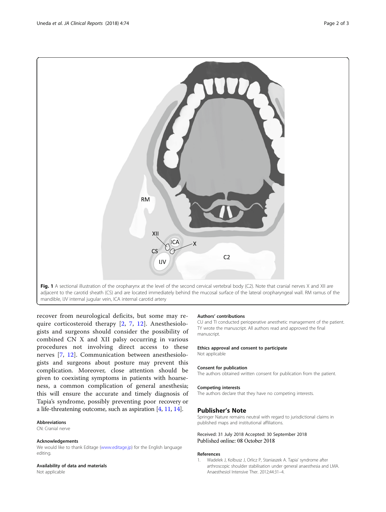<span id="page-1-0"></span>

mandible, IJV internal jugular vein, ICA internal carotid artery

recover from neurological deficits, but some may require corticosteroid therapy [\[2](#page-2-0), [7](#page-2-0), [12\]](#page-2-0). Anesthesiologists and surgeons should consider the possibility of combined CN X and XII palsy occurring in various procedures not involving direct access to these nerves [[7](#page-2-0), [12\]](#page-2-0). Communication between anesthesiologists and surgeons about posture may prevent this complication. Moreover, close attention should be given to coexisting symptoms in patients with hoarseness, a common complication of general anesthesia; this will ensure the accurate and timely diagnosis of Tapia's syndrome, possibly preventing poor recovery or a life-threatening outcome, such as aspiration [\[4](#page-2-0), [11](#page-2-0), [14\]](#page-2-0).

#### **Abbreviations**

CN: Cranial nerve

#### Acknowledgements

We would like to thank Editage ([www.editage.jp\)](http://www.editage.jp) for the English language editing.

#### Availability of data and materials

Not applicable

#### Authors' contributions

CU and TI conducted perioperative anesthetic management of the patient. TY wrote the manuscript. All authors read and approved the final manuscript.

#### Ethics approval and consent to participate

Not applicable

#### Consent for publication

The authors obtained written consent for publication from the patient.

#### Competing interests

The authors declare that they have no competing interests.

#### Publisher's Note

Springer Nature remains neutral with regard to jurisdictional claims in published maps and institutional affiliations.

# Received: 31 July 2018 Accepted: 30 September 2018

#### References

1. Wadelek J, Kolbusz J, Orlicz P, Staniaszek A. Tapia' syndrome after arthroscopic shoulder stabilisation under general anaesthesia and LMA. Anaesthesiol Intensive Ther. 2012;44:31–4.